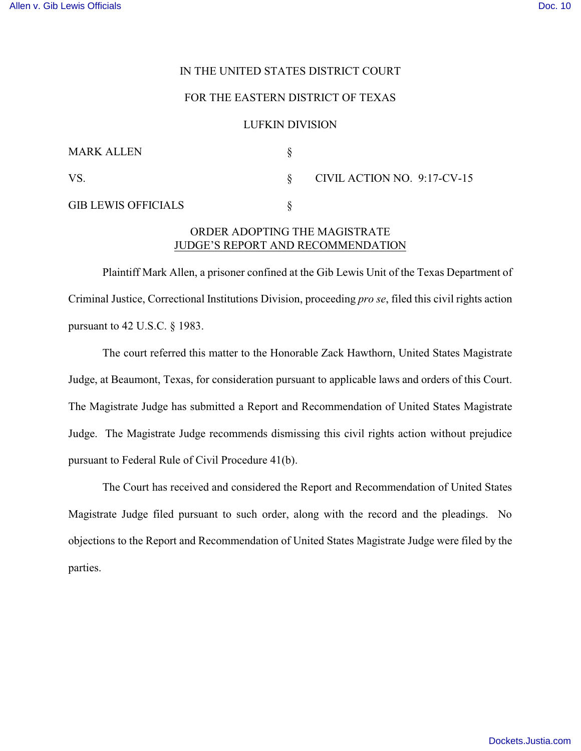## IN THE UNITED STATES DISTRICT COURT

#### FOR THE EASTERN DISTRICT OF TEXAS

### LUFKIN DIVISION

| <b>MARK ALLEN</b>          |                             |
|----------------------------|-----------------------------|
| VS                         | CIVIL ACTION NO. 9:17-CV-15 |
| <b>GIB LEWIS OFFICIALS</b> |                             |

# ORDER ADOPTING THE MAGISTRATE JUDGE'S REPORT AND RECOMMENDATION

Plaintiff Mark Allen, a prisoner confined at the Gib Lewis Unit of the Texas Department of Criminal Justice, Correctional Institutions Division, proceeding *pro se*, filed this civil rights action pursuant to 42 U.S.C. § 1983.

The court referred this matter to the Honorable Zack Hawthorn, United States Magistrate Judge, at Beaumont, Texas, for consideration pursuant to applicable laws and orders of this Court. The Magistrate Judge has submitted a Report and Recommendation of United States Magistrate Judge. The Magistrate Judge recommends dismissing this civil rights action without prejudice pursuant to Federal Rule of Civil Procedure 41(b).

The Court has received and considered the Report and Recommendation of United States Magistrate Judge filed pursuant to such order, along with the record and the pleadings. No objections to the Report and Recommendation of United States Magistrate Judge were filed by the parties.